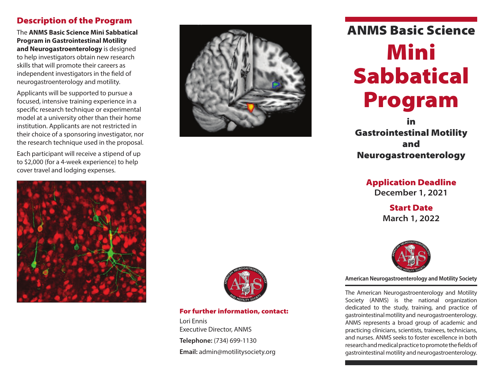## Description of the Program

The **ANMS Basic Science Mini Sabbatical Program in Gastrointestinal Motility and Neurogastroenterology** is designed to help investigators obtain new research skills that will promote their careers as independent investigators in the field of neurogastroenterology and motility.

Applicants will be supported to pursue a focused, intensive training experience in a specific research technique or experimental model at a university other than their home institution. Applicants are not restricted in their choice of a sponsoring investigator, nor the research technique used in the proposal.

Each participant will receive a stipend of up to \$2,000 (for a 4-week experience) to help cover travel and lodging expenses.





# ANMS Basic Science Mini Sabbatical Program

in Gastrointestinal Motility and Neurogastroenterology

## Application Deadline

**December 1, 2021**

Start Date **March 1, 2022**



**American Neurogastroenterology and Motility Society** 

The American Neurogastroenterology and Motility Society (ANMS) is the national organization dedicated to the study, training, and practice of gastrointestinal motility and neurogastroenterology. ANMS represents a broad group of academic and practicing clinicians, scientists, trainees, technicians, and nurses. ANMS seeks to foster excellence in both research and medical practice to promote the fields of gastrointestinal motility and neurogastroenterology.



For further information, contact:

Lori Ennis Executive Director, ANMS **Telephone:** (734) 699-1130 **Email:** admin@motilitysociety.org